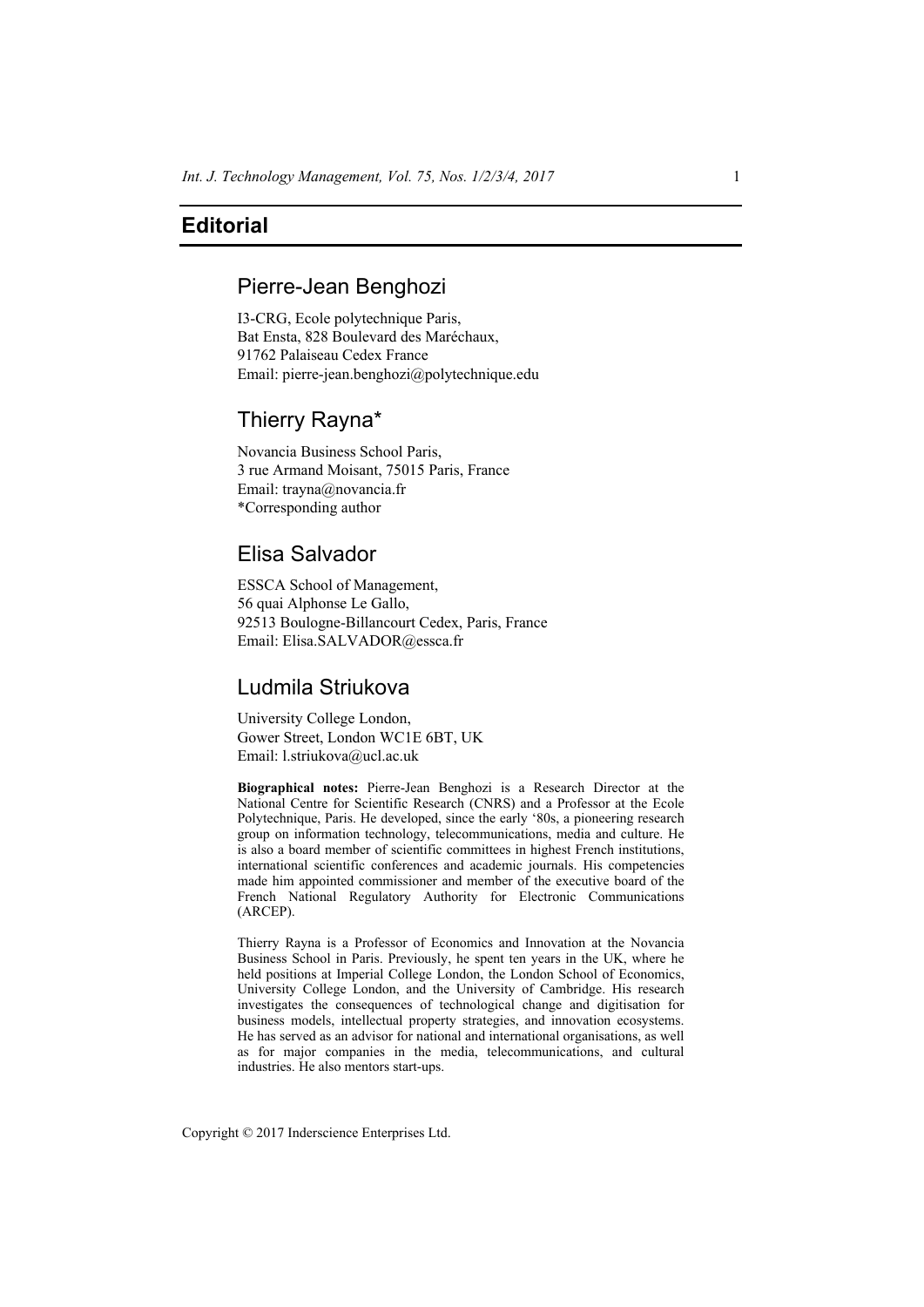## **Editorial**

## Pierre-Jean Benghozi

I3-CRG, Ecole polytechnique Paris, Bat Ensta, 828 Boulevard des Maréchaux, 91762 Palaiseau Cedex France Email: pierre-jean.benghozi@polytechnique.edu

## Thierry Rayna\*

Novancia Business School Paris, 3 rue Armand Moisant, 75015 Paris, France Email: trayna@novancia.fr \*Corresponding author

# Elisa Salvador

ESSCA School of Management, 56 quai Alphonse Le Gallo, 92513 Boulogne-Billancourt Cedex, Paris, France Email: Elisa.SALVADOR@essca.fr

## Ludmila Striukova

University College London, Gower Street, London WC1E 6BT, UK Email: l.striukova@ucl.ac.uk

**Biographical notes:** Pierre-Jean Benghozi is a Research Director at the National Centre for Scientific Research (CNRS) and a Professor at the Ecole Polytechnique, Paris. He developed, since the early '80s, a pioneering research group on information technology, telecommunications, media and culture. He is also a board member of scientific committees in highest French institutions, international scientific conferences and academic journals. His competencies made him appointed commissioner and member of the executive board of the French National Regulatory Authority for Electronic Communications (ARCEP).

Thierry Rayna is a Professor of Economics and Innovation at the Novancia Business School in Paris. Previously, he spent ten years in the UK, where he held positions at Imperial College London, the London School of Economics, University College London, and the University of Cambridge. His research investigates the consequences of technological change and digitisation for business models, intellectual property strategies, and innovation ecosystems. He has served as an advisor for national and international organisations, as well as for major companies in the media, telecommunications, and cultural industries. He also mentors start-ups.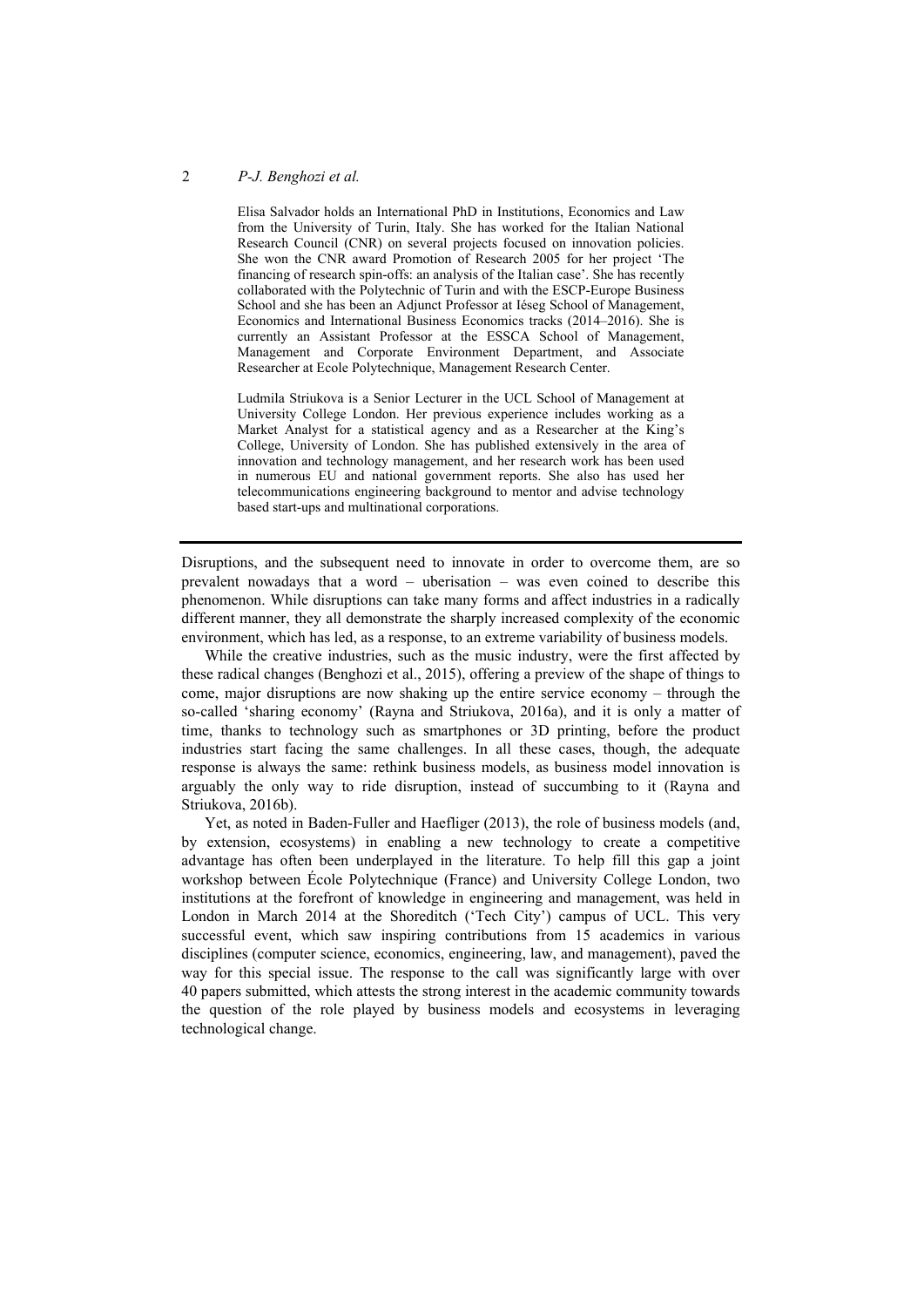#### 2 *P-J. Benghozi et al.*

Elisa Salvador holds an International PhD in Institutions, Economics and Law from the University of Turin, Italy. She has worked for the Italian National Research Council (CNR) on several projects focused on innovation policies. She won the CNR award Promotion of Research 2005 for her project 'The financing of research spin-offs: an analysis of the Italian case'. She has recently collaborated with the Polytechnic of Turin and with the ESCP-Europe Business School and she has been an Adjunct Professor at Iéseg School of Management, Economics and International Business Economics tracks (2014–2016). She is currently an Assistant Professor at the ESSCA School of Management, Management and Corporate Environment Department, and Associate Researcher at Ecole Polytechnique, Management Research Center.

Ludmila Striukova is a Senior Lecturer in the UCL School of Management at University College London. Her previous experience includes working as a Market Analyst for a statistical agency and as a Researcher at the King's College, University of London. She has published extensively in the area of innovation and technology management, and her research work has been used in numerous EU and national government reports. She also has used her telecommunications engineering background to mentor and advise technology based start-ups and multinational corporations.

Disruptions, and the subsequent need to innovate in order to overcome them, are so prevalent nowadays that a word – uberisation – was even coined to describe this phenomenon. While disruptions can take many forms and affect industries in a radically different manner, they all demonstrate the sharply increased complexity of the economic environment, which has led, as a response, to an extreme variability of business models.

While the creative industries, such as the music industry, were the first affected by these radical changes (Benghozi et al., 2015), offering a preview of the shape of things to come, major disruptions are now shaking up the entire service economy – through the so-called 'sharing economy' (Rayna and Striukova, 2016a), and it is only a matter of time, thanks to technology such as smartphones or 3D printing, before the product industries start facing the same challenges. In all these cases, though, the adequate response is always the same: rethink business models, as business model innovation is arguably the only way to ride disruption, instead of succumbing to it (Rayna and Striukova, 2016b).

Yet, as noted in Baden-Fuller and Haefliger (2013), the role of business models (and, by extension, ecosystems) in enabling a new technology to create a competitive advantage has often been underplayed in the literature. To help fill this gap a joint workshop between École Polytechnique (France) and University College London, two institutions at the forefront of knowledge in engineering and management, was held in London in March 2014 at the Shoreditch ('Tech City') campus of UCL. This very successful event, which saw inspiring contributions from 15 academics in various disciplines (computer science, economics, engineering, law, and management), paved the way for this special issue. The response to the call was significantly large with over 40 papers submitted, which attests the strong interest in the academic community towards the question of the role played by business models and ecosystems in leveraging technological change.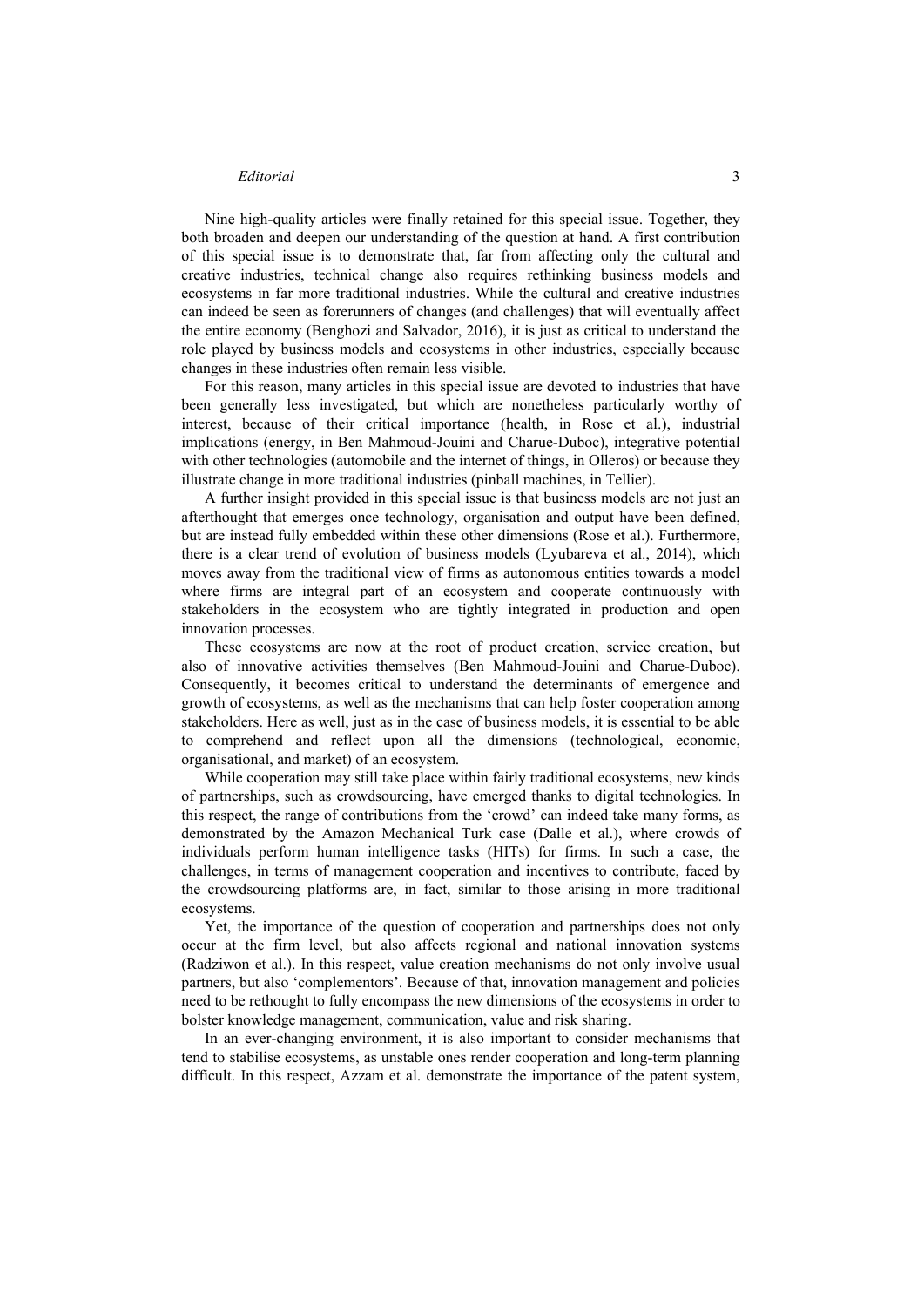#### *Editorial* 3

Nine high-quality articles were finally retained for this special issue. Together, they both broaden and deepen our understanding of the question at hand. A first contribution of this special issue is to demonstrate that, far from affecting only the cultural and creative industries, technical change also requires rethinking business models and ecosystems in far more traditional industries. While the cultural and creative industries can indeed be seen as forerunners of changes (and challenges) that will eventually affect the entire economy (Benghozi and Salvador, 2016), it is just as critical to understand the role played by business models and ecosystems in other industries, especially because changes in these industries often remain less visible.

For this reason, many articles in this special issue are devoted to industries that have been generally less investigated, but which are nonetheless particularly worthy of interest, because of their critical importance (health, in Rose et al.), industrial implications (energy, in Ben Mahmoud-Jouini and Charue-Duboc), integrative potential with other technologies (automobile and the internet of things, in Olleros) or because they illustrate change in more traditional industries (pinball machines, in Tellier).

A further insight provided in this special issue is that business models are not just an afterthought that emerges once technology, organisation and output have been defined, but are instead fully embedded within these other dimensions (Rose et al.). Furthermore, there is a clear trend of evolution of business models (Lyubareva et al., 2014), which moves away from the traditional view of firms as autonomous entities towards a model where firms are integral part of an ecosystem and cooperate continuously with stakeholders in the ecosystem who are tightly integrated in production and open innovation processes.

These ecosystems are now at the root of product creation, service creation, but also of innovative activities themselves (Ben Mahmoud-Jouini and Charue-Duboc). Consequently, it becomes critical to understand the determinants of emergence and growth of ecosystems, as well as the mechanisms that can help foster cooperation among stakeholders. Here as well, just as in the case of business models, it is essential to be able to comprehend and reflect upon all the dimensions (technological, economic, organisational, and market) of an ecosystem.

While cooperation may still take place within fairly traditional ecosystems, new kinds of partnerships, such as crowdsourcing, have emerged thanks to digital technologies. In this respect, the range of contributions from the 'crowd' can indeed take many forms, as demonstrated by the Amazon Mechanical Turk case (Dalle et al.), where crowds of individuals perform human intelligence tasks (HITs) for firms. In such a case, the challenges, in terms of management cooperation and incentives to contribute, faced by the crowdsourcing platforms are, in fact, similar to those arising in more traditional ecosystems.

Yet, the importance of the question of cooperation and partnerships does not only occur at the firm level, but also affects regional and national innovation systems (Radziwon et al.). In this respect, value creation mechanisms do not only involve usual partners, but also 'complementors'. Because of that, innovation management and policies need to be rethought to fully encompass the new dimensions of the ecosystems in order to bolster knowledge management, communication, value and risk sharing.

In an ever-changing environment, it is also important to consider mechanisms that tend to stabilise ecosystems, as unstable ones render cooperation and long-term planning difficult. In this respect, Azzam et al. demonstrate the importance of the patent system,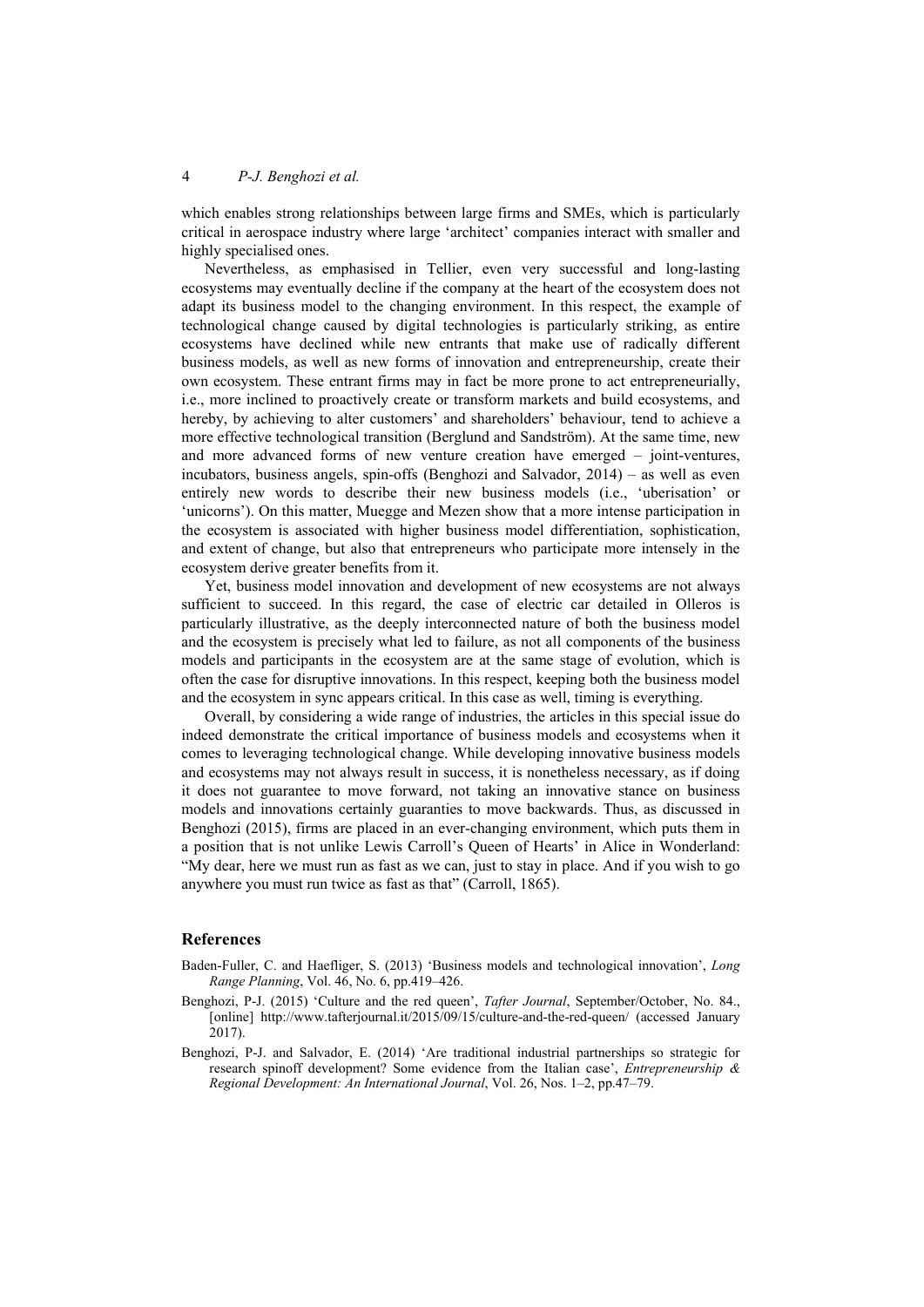### 4 *P-J. Benghozi et al.*

which enables strong relationships between large firms and SMEs, which is particularly critical in aerospace industry where large 'architect' companies interact with smaller and highly specialised ones.

Nevertheless, as emphasised in Tellier, even very successful and long-lasting ecosystems may eventually decline if the company at the heart of the ecosystem does not adapt its business model to the changing environment. In this respect, the example of technological change caused by digital technologies is particularly striking, as entire ecosystems have declined while new entrants that make use of radically different business models, as well as new forms of innovation and entrepreneurship, create their own ecosystem. These entrant firms may in fact be more prone to act entrepreneurially, i.e., more inclined to proactively create or transform markets and build ecosystems, and hereby, by achieving to alter customers' and shareholders' behaviour, tend to achieve a more effective technological transition (Berglund and Sandström). At the same time, new and more advanced forms of new venture creation have emerged – joint-ventures, incubators, business angels, spin-offs (Benghozi and Salvador, 2014) – as well as even entirely new words to describe their new business models (i.e., 'uberisation' or 'unicorns'). On this matter, Muegge and Mezen show that a more intense participation in the ecosystem is associated with higher business model differentiation, sophistication, and extent of change, but also that entrepreneurs who participate more intensely in the ecosystem derive greater benefits from it.

Yet, business model innovation and development of new ecosystems are not always sufficient to succeed. In this regard, the case of electric car detailed in Olleros is particularly illustrative, as the deeply interconnected nature of both the business model and the ecosystem is precisely what led to failure, as not all components of the business models and participants in the ecosystem are at the same stage of evolution, which is often the case for disruptive innovations. In this respect, keeping both the business model and the ecosystem in sync appears critical. In this case as well, timing is everything.

Overall, by considering a wide range of industries, the articles in this special issue do indeed demonstrate the critical importance of business models and ecosystems when it comes to leveraging technological change. While developing innovative business models and ecosystems may not always result in success, it is nonetheless necessary, as if doing it does not guarantee to move forward, not taking an innovative stance on business models and innovations certainly guaranties to move backwards. Thus, as discussed in Benghozi (2015), firms are placed in an ever-changing environment, which puts them in a position that is not unlike Lewis Carroll's Queen of Hearts' in Alice in Wonderland: "My dear, here we must run as fast as we can, just to stay in place. And if you wish to go anywhere you must run twice as fast as that" (Carroll, 1865).

#### **References**

- Baden-Fuller, C. and Haefliger, S. (2013) 'Business models and technological innovation', *Long Range Planning*, Vol. 46, No. 6, pp.419–426.
- Benghozi, P-J. (2015) 'Culture and the red queen', *Tafter Journal*, September/October, No. 84., [online] http://www.tafterjournal.it/2015/09/15/culture-and-the-red-queen/ (accessed January 2017).
- Benghozi, P-J. and Salvador, E. (2014) 'Are traditional industrial partnerships so strategic for research spinoff development? Some evidence from the Italian case', *Entrepreneurship & Regional Development: An International Journal*, Vol. 26, Nos. 1–2, pp.47–79.